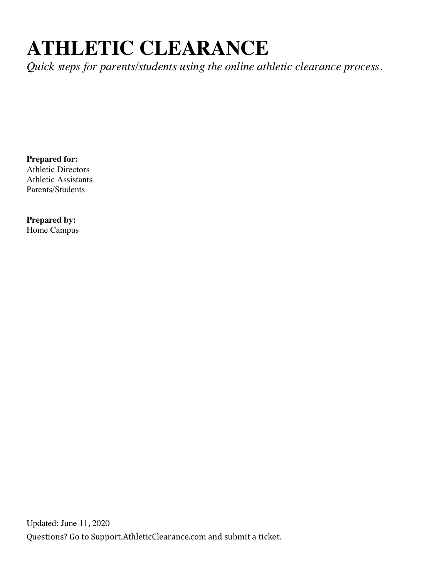# **ATHLETIC CLEARANCE**

*Quick steps for parents/students using the online athletic clearance process.* 

**Prepared for:**  Athletic Directors Athletic Assistants Parents/Students

**Prepared by:**  Home Campus

Questions? Go to Support.AthleticClearance.com and submit a ticket. Updated: June 11, 2020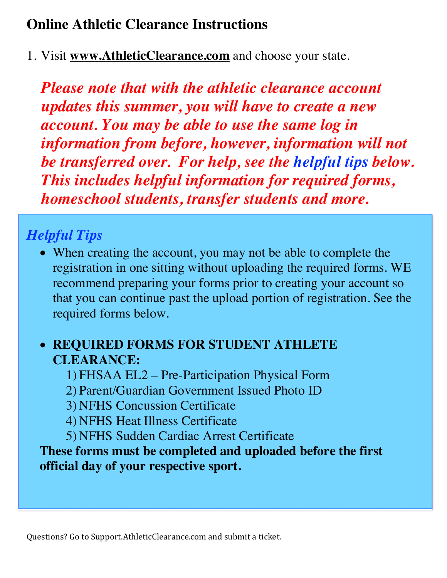### **Online Athletic Clearance Instructions**

1. Visit **www.AthleticClearance.com** and choose your state.

*Please note that with the athletic clearance account updates this summer, you will have to create a new account. You may be able to use the same log in information from before, however, information will not be transferred over. For help, see the helpful tips below. This includes helpful information for required forms, homeschool students, transfer students and more.*

## *Helpful Tips*

• When creating the account, you may not be able to complete the registration in one sitting without uploading the required forms. WE recommend preparing your forms prior to creating your account so that you can continue past the upload portion of registration. See the required forms below.

### • **REQUIRED FORMS FOR STUDENT ATHLETE CLEARANCE:**

- 1) FHSAA EL2 Pre-Participation Physical Form
- 2) Parent/Guardian Government Issued Photo ID
- 3) NFHS Concussion Certificate
- 4) NFHS Heat Illness Certificate
- 5) NFHS Sudden Cardiac Arrest Certificate

**These forms must be completed and uploaded before the first official day of your respective sport.**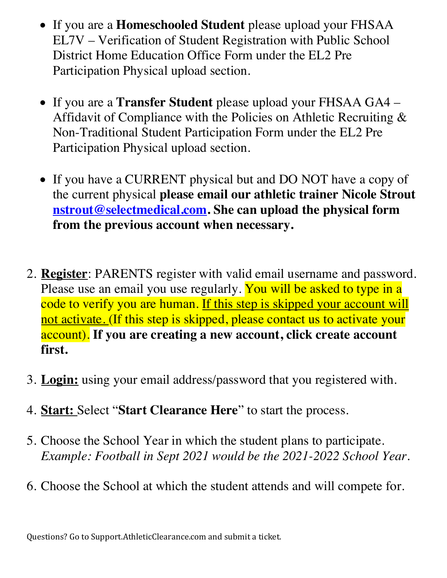- If you are a **Homeschooled Student** please upload your FHSAA EL7V – Verification of Student Registration with Public School District Home Education Office Form under the EL2 Pre Participation Physical upload section.
- If you are a **Transfer Student** please upload your FHSAA GA4 Affidavit of Compliance with the Policies on Athletic Recruiting & Non-Traditional Student Participation Form under the EL2 Pre Participation Physical upload section.
- If you have a CURRENT physical but and DO NOT have a copy of the current physical **please email our athletic trainer Nicole Strout nstrout@selectmedical.com. She can upload the physical form from the previous account when necessary.**
- 2. **Register**: PARENTS register with valid email username and password. Please use an email you use regularly. You will be asked to type in a code to verify you are human. If this step is skipped your account will not activate. (If this step is skipped, please contact us to activate your account). **If you are creating a new account, click create account first.**
- 3. **Login:** using your email address/password that you registered with.
- 4. **Start:** Select "**Start Clearance Here**" to start the process.
- 5. Choose the School Year in which the student plans to participate. *Example: Football in Sept 2021 would be the 2021-2022 School Year.*
- 6. Choose the School at which the student attends and will compete for.

Questions? Go to Support.AthleticClearance.com and submit a ticket.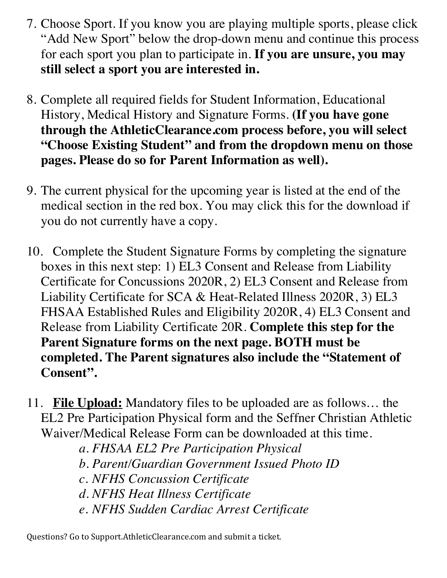- 7. Choose Sport. If you know you are playing multiple sports, please click "Add New Sport" below the drop-down menu and continue this process for each sport you plan to participate in. **If you are unsure, you may still select a sport you are interested in.**
- 8. Complete all required fields for Student Information, Educational History, Medical History and Signature Forms. **(If you have gone through the AthleticClearance.com process before, you will select "Choose Existing Student" and from the dropdown menu on those pages. Please do so for Parent Information as well).**
- 9. The current physical for the upcoming year is listed at the end of the medical section in the red box. You may click this for the download if you do not currently have a copy.
- 10. Complete the Student Signature Forms by completing the signature boxes in this next step: 1) EL3 Consent and Release from Liability Certificate for Concussions 2020R, 2) EL3 Consent and Release from Liability Certificate for SCA & Heat-Related Illness 2020R, 3) EL3 FHSAA Established Rules and Eligibility 2020R, 4) EL3 Consent and Release from Liability Certificate 20R. **Complete this step for the Parent Signature forms on the next page. BOTH must be completed. The Parent signatures also include the "Statement of Consent".**
- 11. **File Upload:** Mandatory files to be uploaded are as follows… the EL2 Pre Participation Physical form and the Seffner Christian Athletic Waiver/Medical Release Form can be downloaded at this time.
	- *a. FHSAA EL2 Pre Participation Physical*
	- *b. Parent/Guardian Government Issued Photo ID*
	- *c. NFHS Concussion Certificate*
	- *d. NFHS Heat Illness Certificate*
	- *e. NFHS Sudden Cardiac Arrest Certificate*

Questions? Go to Support.AthleticClearance.com and submit a ticket.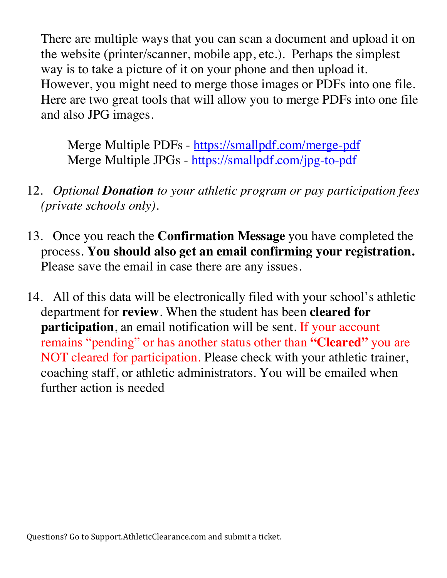There are multiple ways that you can scan a document and upload it on the website (printer/scanner, mobile app, etc.). Perhaps the simplest way is to take a picture of it on your phone and then upload it. However, you might need to merge those images or PDFs into one file. Here are two great tools that will allow you to merge PDFs into one file and also JPG images.

Merge Multiple PDFs - https://smallpdf.com/merge-pdf Merge Multiple JPGs - https://smallpdf.com/jpg-to-pdf

- 12. *Optional Donation to your athletic program or pay participation fees (private schools only).*
- 13. Once you reach the **Confirmation Message** you have completed the process. **You should also get an email confirming your registration.**  Please save the email in case there are any issues.
- 14. All of this data will be electronically filed with your school's athletic department for **review**. When the student has been **cleared for participation**, an email notification will be sent. If your account remains "pending" or has another status other than **"Cleared"** you are NOT cleared for participation. Please check with your athletic trainer, coaching staff, or athletic administrators. You will be emailed when further action is needed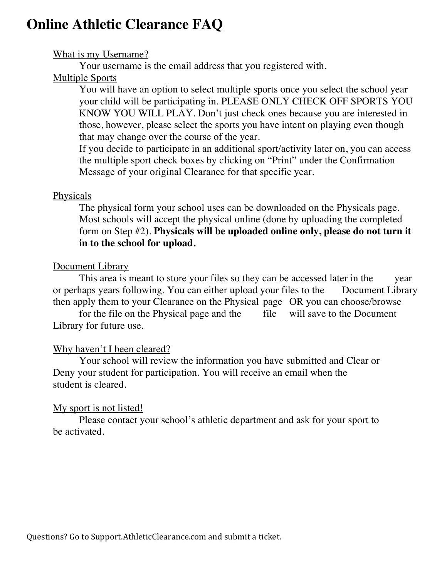### **Online Athletic Clearance FAQ**

#### What is my Username?

Your username is the email address that you registered with.

#### Multiple Sports

You will have an option to select multiple sports once you select the school year your child will be participating in. PLEASE ONLY CHECK OFF SPORTS YOU KNOW YOU WILL PLAY. Don't just check ones because you are interested in those, however, please select the sports you have intent on playing even though that may change over the course of the year.

If you decide to participate in an additional sport/activity later on, you can access the multiple sport check boxes by clicking on "Print" under the Confirmation Message of your original Clearance for that specific year.

#### **Physicals**

The physical form your school uses can be downloaded on the Physicals page. Most schools will accept the physical online (done by uploading the completed form on Step #2). **Physicals will be uploaded online only, please do not turn it in to the school for upload.** 

#### Document Library

This area is meant to store your files so they can be accessed later in the year or perhaps years following. You can either upload your files to the Document Library then apply them to your Clearance on the Physical page OR you can choose/browse

for the file on the Physical page and the file will save to the Document Library for future use.

#### Why haven't I been cleared?

Your school will review the information you have submitted and Clear or Deny your student for participation. You will receive an email when the student is cleared.

#### My sport is not listed!

Please contact your school's athletic department and ask for your sport to be activated.